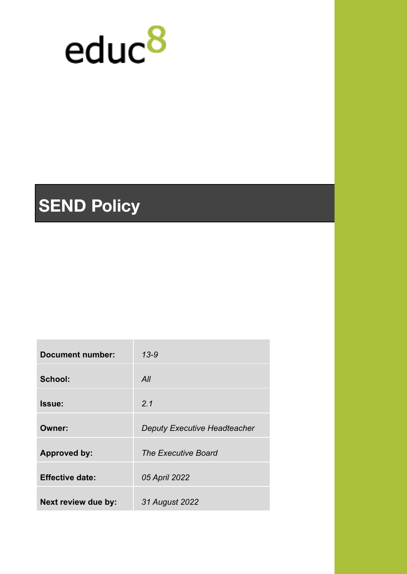

# **SEND Policy**

| <b>Document number:</b> | $13 - 9$                            |
|-------------------------|-------------------------------------|
| School:                 | All                                 |
| Issue:                  | 2.1                                 |
| Owner:                  | <b>Deputy Executive Headteacher</b> |
| <b>Approved by:</b>     | <b>The Executive Board</b>          |
| <b>Effective date:</b>  | 05 April 2022                       |
| Next review due by:     | 31 August 2022                      |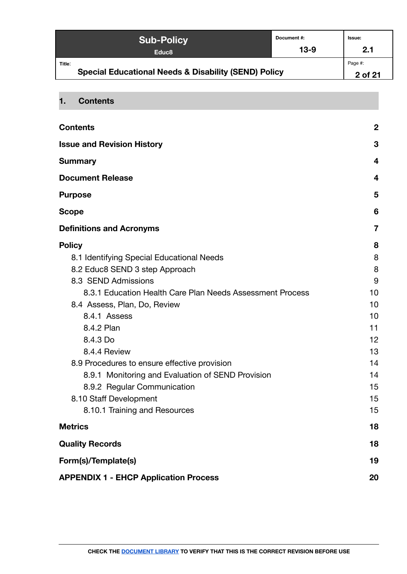| <b>Sub-Policy</b>                                                         | Document #: | <b>Issue:</b>      |
|---------------------------------------------------------------------------|-------------|--------------------|
| Educ <sub>8</sub>                                                         | $13-9$      | 2.1                |
| Title:<br><b>Special Educational Needs &amp; Disability (SEND) Policy</b> |             | Page #:<br>2 of 21 |

## <span id="page-1-0"></span>**1. Contents**

| <b>Contents</b>                                           | $\boldsymbol{2}$ |
|-----------------------------------------------------------|------------------|
| <b>Issue and Revision History</b>                         | 3                |
| <b>Summary</b>                                            | 4                |
| <b>Document Release</b>                                   | 4                |
| <b>Purpose</b>                                            | 5                |
| <b>Scope</b>                                              | 6                |
| <b>Definitions and Acronyms</b>                           | 7                |
| <b>Policy</b>                                             | 8                |
| 8.1 Identifying Special Educational Needs                 | 8                |
| 8.2 Educ8 SEND 3 step Approach                            | 8                |
| 8.3 SEND Admissions                                       | 9                |
| 8.3.1 Education Health Care Plan Needs Assessment Process | 10               |
| 8.4 Assess, Plan, Do, Review                              | 10               |
| 8.4.1 Assess                                              | 10               |
| 8.4.2 Plan                                                | 11               |
| 8.4.3 Do                                                  | 12               |
| 8.4.4 Review                                              | 13               |
| 8.9 Procedures to ensure effective provision              | 14               |
| 8.9.1 Monitoring and Evaluation of SEND Provision         | 14               |
| 8.9.2 Regular Communication                               | 15               |
| 8.10 Staff Development                                    | 15               |
| 8.10.1 Training and Resources                             | 15               |
| <b>Metrics</b>                                            | 18               |
| <b>Quality Records</b>                                    | 18               |
| Form(s)/Template(s)                                       | 19               |
| <b>APPENDIX 1 - EHCP Application Process</b>              | 20               |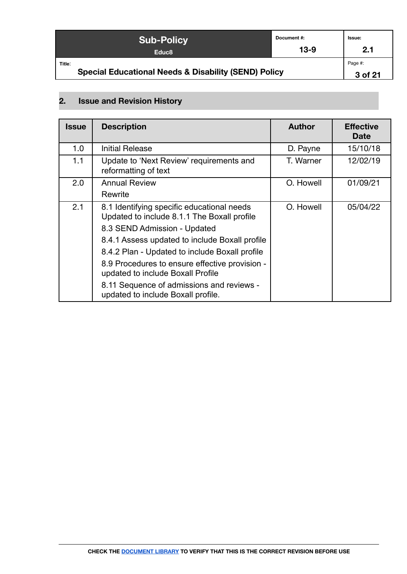| <b>Sub-Policy</b>                                                         | Document#: | Issue:             |
|---------------------------------------------------------------------------|------------|--------------------|
| Educ <sub>8</sub>                                                         | $13-9$     | 2.1                |
| Title:<br><b>Special Educational Needs &amp; Disability (SEND) Policy</b> |            | Page #:<br>3 of 21 |

## <span id="page-2-0"></span>**2. Issue and Revision History**

| <b>Issue</b> | <b>Description</b>                                                                        | <b>Author</b> | <b>Effective</b><br><b>Date</b> |
|--------------|-------------------------------------------------------------------------------------------|---------------|---------------------------------|
| 1.0          | <b>Initial Release</b>                                                                    | D. Payne      | 15/10/18                        |
| 1.1          | Update to 'Next Review' requirements and<br>reformatting of text                          | T. Warner     | 12/02/19                        |
| 2.0          | <b>Annual Review</b>                                                                      | O. Howell     | 01/09/21                        |
|              | Rewrite                                                                                   |               |                                 |
| 2.1          | 8.1 Identifying specific educational needs<br>Updated to include 8.1.1 The Boxall profile | O. Howell     | 05/04/22                        |
|              | 8.3 SEND Admission - Updated                                                              |               |                                 |
|              | 8.4.1 Assess updated to include Boxall profile                                            |               |                                 |
|              | 8.4.2 Plan - Updated to include Boxall profile                                            |               |                                 |
|              | 8.9 Procedures to ensure effective provision -<br>updated to include Boxall Profile       |               |                                 |
|              | 8.11 Sequence of admissions and reviews -<br>updated to include Boxall profile.           |               |                                 |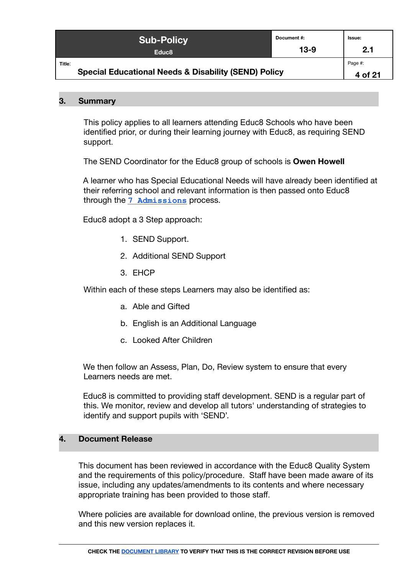|        | <b>Sub-Policy</b>                                               | Document#: | Issue:             |
|--------|-----------------------------------------------------------------|------------|--------------------|
|        | Educ <sub>8</sub>                                               | $13-9$     | 2.1                |
| Title: | <b>Special Educational Needs &amp; Disability (SEND) Policy</b> |            | Page #:<br>4 of 21 |

#### <span id="page-3-0"></span>**3. Summary**

This policy applies to all learners attending Educ8 Schools who have been identified prior, or during their learning journey with Educ8, as requiring SEND support.

The SEND Coordinator for the Educ8 group of schools is **Owen Howell**

A learner who has Special Educational Needs will have already been identified at their referring school and relevant information is then passed onto Educ8 through the **[7 Admissions](https://docs.google.com/document/d/190w3KCajXvE95WtVnruzHuQZzYwiYW3mtVzCaIOnH0Y/edit#)** process.

Educ8 adopt a 3 Step approach:

- 1. SEND Support.
- 2. Additional SEND Support
- 3. EHCP

Within each of these steps Learners may also be identified as:

- a. Able and Gifted
- b. English is an Additional Language
- c. Looked After Children

We then follow an Assess, Plan, Do, Review system to ensure that every Learners needs are met.

Educ8 is committed to providing staff development. SEND is a regular part of this. We monitor, review and develop all tutors' understanding of strategies to identify and support pupils with 'SEND'.

## <span id="page-3-1"></span>**4. Document Release**

This document has been reviewed in accordance with the Educ8 Quality System and the requirements of this policy/procedure. Staff have been made aware of its issue, including any updates/amendments to its contents and where necessary appropriate training has been provided to those staff.

Where policies are available for download online, the previous version is removed and this new version replaces it.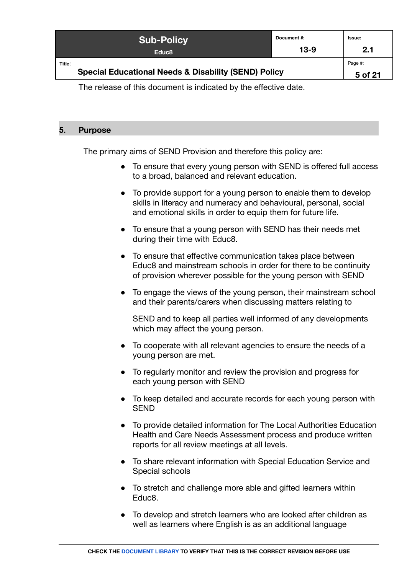| <b>Sub-Policy</b>                                                         | Document #: | Issue:             |
|---------------------------------------------------------------------------|-------------|--------------------|
| Educ <sub>8</sub>                                                         | $13-9$      | 2.1                |
| Title:<br><b>Special Educational Needs &amp; Disability (SEND) Policy</b> |             | Page #:<br>5 of 21 |

The release of this document is indicated by the effective date.

## <span id="page-4-0"></span>**5. Purpose**

The primary aims of SEND Provision and therefore this policy are:

- To ensure that every young person with SEND is offered full access to a broad, balanced and relevant education.
- To provide support for a young person to enable them to develop skills in literacy and numeracy and behavioural, personal, social and emotional skills in order to equip them for future life.
- To ensure that a young person with SEND has their needs met during their time with Educ8.
- To ensure that effective communication takes place between Educ8 and mainstream schools in order for there to be continuity of provision wherever possible for the young person with SEND
- To engage the views of the young person, their mainstream school and their parents/carers when discussing matters relating to

SEND and to keep all parties well informed of any developments which may affect the young person.

- To cooperate with all relevant agencies to ensure the needs of a young person are met.
- To regularly monitor and review the provision and progress for each young person with SEND
- To keep detailed and accurate records for each young person with SEND
- To provide detailed information for The Local Authorities Education Health and Care Needs Assessment process and produce written reports for all review meetings at all levels.
- To share relevant information with Special Education Service and Special schools
- To stretch and challenge more able and gifted learners within Educ8.
- To develop and stretch learners who are looked after children as well as learners where English is as an additional language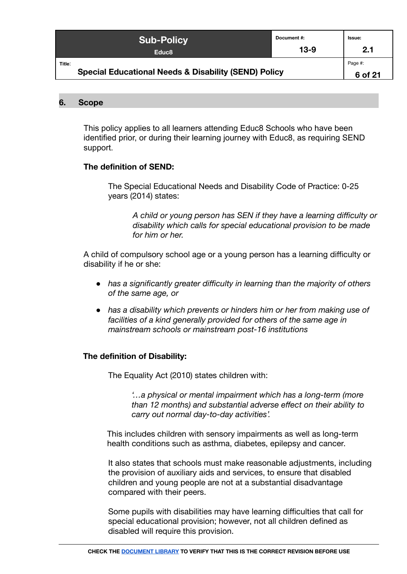| <b>Sub-Policy</b>                                                         | Document #: | <b>Issue:</b>      |
|---------------------------------------------------------------------------|-------------|--------------------|
| Educ <sub>8</sub>                                                         | $13-9$      | 2.1                |
| Title:<br><b>Special Educational Needs &amp; Disability (SEND) Policy</b> |             | Page #:<br>6 of 21 |

#### <span id="page-5-0"></span>**6. Scope**

This policy applies to all learners attending Educ8 Schools who have been identified prior, or during their learning journey with Educ8, as requiring SEND support.

#### **The definition of SEND:**

The Special Educational Needs and Disability Code of Practice: 0-25 years (2014) states:

*A child or young person has SEN if they have a learning difficulty or disability which calls for special educational provision to be made for him or her.*

A child of compulsory school age or a young person has a learning difficulty or disability if he or she:

- *● has a significantly greater difficulty in learning than the majority of others of the same age, or*
- *has a disability which prevents or hinders him or her from making use of facilities of a kind generally provided for others of the same age in mainstream schools or mainstream post-16 institutions*

## **The definition of Disability:**

The Equality Act (2010) states children with:

*'…a physical or mental impairment which has a long-term (more than 12 months) and substantial adverse effect on their ability to carry out normal day-to-day activities'.*

This includes children with sensory impairments as well as long-term health conditions such as asthma, diabetes, epilepsy and cancer.

It also states that schools must make reasonable adjustments, including the provision of auxiliary aids and services, to ensure that disabled children and young people are not at a substantial disadvantage compared with their peers.

Some pupils with disabilities may have learning difficulties that call for special educational provision; however, not all children defined as disabled will require this provision.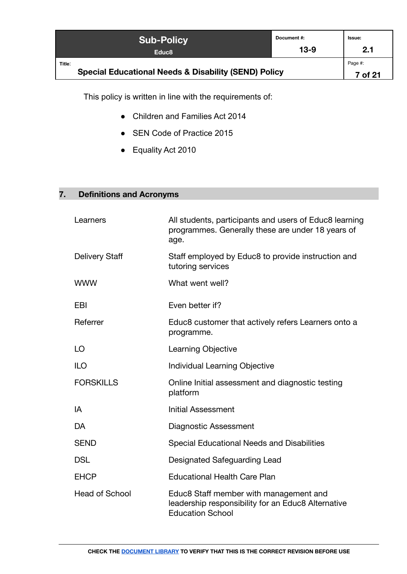| <b>Sub-Policy</b>                                                         | Document #: | Issue:             |
|---------------------------------------------------------------------------|-------------|--------------------|
| Educ <sub>8</sub>                                                         | $13-9$      | 2.1                |
| Title:<br><b>Special Educational Needs &amp; Disability (SEND) Policy</b> |             | Page #:<br>7 of 21 |

This policy is written in line with the requirements of:

- Children and Families Act 2014
- SEN Code of Practice 2015
- Equality Act 2010

## <span id="page-6-0"></span>**7. Definitions and Acronyms**

| Learners              | All students, participants and users of Educ8 learning<br>programmes. Generally these are under 18 years of<br>age.     |
|-----------------------|-------------------------------------------------------------------------------------------------------------------------|
| <b>Delivery Staff</b> | Staff employed by Educ8 to provide instruction and<br>tutoring services                                                 |
| <b>WWW</b>            | What went well?                                                                                                         |
| EBI                   | Even better if?                                                                                                         |
| Referrer              | Educ8 customer that actively refers Learners onto a<br>programme.                                                       |
| LO                    | Learning Objective                                                                                                      |
| <b>ILO</b>            | Individual Learning Objective                                                                                           |
| <b>FORSKILLS</b>      | Online Initial assessment and diagnostic testing<br>platform                                                            |
| IA                    | <b>Initial Assessment</b>                                                                                               |
| DA                    | Diagnostic Assessment                                                                                                   |
| <b>SEND</b>           | Special Educational Needs and Disabilities                                                                              |
| <b>DSL</b>            | Designated Safeguarding Lead                                                                                            |
| <b>EHCP</b>           | <b>Educational Health Care Plan</b>                                                                                     |
| <b>Head of School</b> | Educ8 Staff member with management and<br>leadership responsibility for an Educ8 Alternative<br><b>Education School</b> |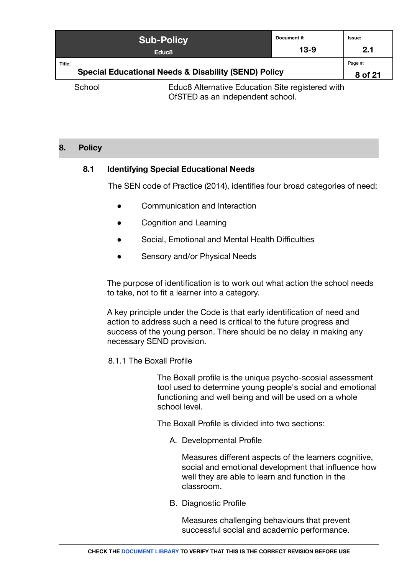|                | <b>Sub-Policy</b><br>Educ <sub>8</sub>                                           | Document #:<br>13-9 | <b>Issue:</b><br>2.1 |
|----------------|----------------------------------------------------------------------------------|---------------------|----------------------|
| Title:         | <b>Special Educational Needs &amp; Disability (SEND) Policy</b>                  |                     | Page #:<br>8 of 21   |
| $C2$ $A2$ $A1$ | $\Gamma$ dug $\Omega$ Alternative $\Gamma$ dugation $\Omega$ ita registered with |                     |                      |

School Educ8 Alternative Education Site registered with OfSTED as an independent school.

## <span id="page-7-1"></span><span id="page-7-0"></span>**8. Policy**

## **8.1 Identifying Special Educational Needs**

The SEN code of Practice (2014), identifies four broad categories of need:

- Communication and Interaction
- Cognition and Learning
- Social, Emotional and Mental Health Difficulties
- Sensory and/or Physical Needs

The purpose of identification is to work out what action the school needs to take, not to fit a learner into a category.

A key principle under the Code is that early identification of need and action to address such a need is critical to the future progress and success of the young person. There should be no delay in making any necessary SEND provision.

#### 8.1.1 The Boxall Profile

The Boxall profile is the unique psycho-scosial assessment tool used to determine young people's social and emotional functioning and well being and will be used on a whole school level.

The Boxall Profile is divided into two sections:

A. Developmental Profile

Measures different aspects of the learners cognitive, social and emotional development that influence how well they are able to learn and function in the classroom.

B. Diagnostic Profile

Measures challenging behaviours that prevent successful social and academic performance.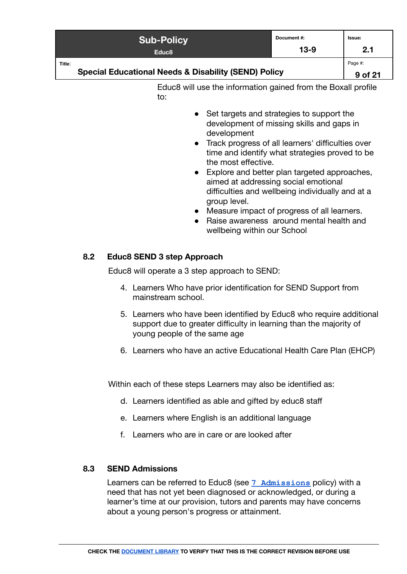| <b>Sub-Policy</b>                                                         | Document #: | Issue:             |
|---------------------------------------------------------------------------|-------------|--------------------|
| Educ <sub>8</sub>                                                         | $13 - 9$    | 2.1                |
| Title:<br><b>Special Educational Needs &amp; Disability (SEND) Policy</b> |             | Page #:<br>9 of 21 |

Educ8 will use the information gained from the Boxall profile to:

- Set targets and strategies to support the development of missing skills and gaps in development
- Track progress of all learners' difficulties over time and identify what strategies proved to be the most effective.
- Explore and better plan targeted approaches, aimed at addressing social emotional difficulties and wellbeing individually and at a group level.
- Measure impact of progress of all learners.
- Raise awareness around mental health and wellbeing within our School

## <span id="page-8-0"></span>**8.2 Educ8 SEND 3 step Approach**

Educ8 will operate a 3 step approach to SEND:

- 4. Learners Who have prior identification for SEND Support from mainstream school.
- 5. Learners who have been identified by Educ8 who require additional support due to greater difficulty in learning than the majority of young people of the same age
- 6. Learners who have an active Educational Health Care Plan (EHCP)

Within each of these steps Learners may also be identified as:

- d. Learners identified as able and gifted by educ8 staff
- e. Learners where English is an additional language
- f. Learners who are in care or are looked after

## <span id="page-8-1"></span>**8.3 SEND Admissions**

Learners can be referred to Educ8 (see **[7 Admissions](https://docs.google.com/document/d/190w3KCajXvE95WtVnruzHuQZzYwiYW3mtVzCaIOnH0Y/edit#)** policy) with a need that has not yet been diagnosed or acknowledged, or during a learner's time at our provision, tutors and parents may have concerns about a young person's progress or attainment.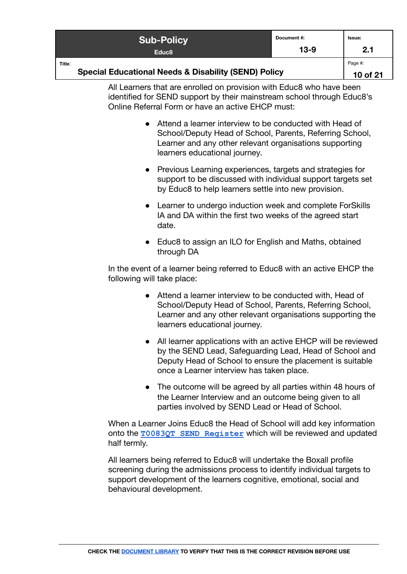| <b>Sub-Policy</b>                                               | Document #: | lssue: |
|-----------------------------------------------------------------|-------------|--------|
| Educ <sub>8</sub>                                               | $13-9$      | 2.1    |
| Title:                                                          |             |        |
| <b>Special Educational Needs &amp; Disability (SEND) Policy</b> |             |        |

All Learners that are enrolled on provision with Educ8 who have been identified for SEND support by their mainstream school through Educ8's Online Referral Form or have an active EHCP must:

- Attend a learner interview to be conducted with Head of School/Deputy Head of School, Parents, Referring School, Learner and any other relevant organisations supporting learners educational journey.
- Previous Learning experiences, targets and strategies for support to be discussed with individual support targets set by Educ8 to help learners settle into new provision.
- Learner to undergo induction week and complete ForSkills IA and DA within the first two weeks of the agreed start date.
- Educ8 to assign an ILO for English and Maths, obtained through DA

In the event of a learner being referred to Educ8 with an active EHCP the following will take place:

- Attend a learner interview to be conducted with, Head of School/Deputy Head of School, Parents, Referring School, Learner and any other relevant organisations supporting the learners educational journey.
- All learner applications with an active EHCP will be reviewed by the SEND Lead, Safeguarding Lead, Head of School and Deputy Head of School to ensure the placement is suitable once a Learner interview has taken place.
- The outcome will be agreed by all parties within 48 hours of the Learner Interview and an outcome being given to all parties involved by SEND Lead or Head of School.

When a Learner Joins Educ8 the Head of School will add key information onto the **[T0083QT SEND Register](https://docs.google.com/spreadsheets/d/1Uv8h6b9njrGnVZtME7pY4GpWOLHwZ_mKmOHd-KcYTqI/edit#gid=497520425)** which will be reviewed and updated half termly.

All learners being referred to Educ8 will undertake the Boxall profile screening during the admissions process to identify individual targets to support development of the learners cognitive, emotional, social and behavioural development.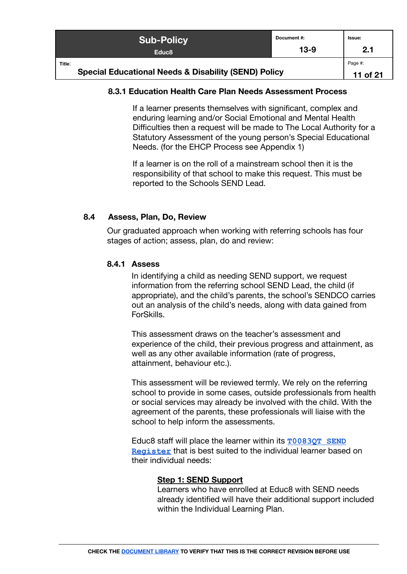|                                                                 | <b>Sub-Policy</b> | Document#:<br>$13-9$ | <b>Issue:</b><br>2.1 |
|-----------------------------------------------------------------|-------------------|----------------------|----------------------|
|                                                                 | Educ <sub>8</sub> |                      |                      |
| Title:                                                          |                   |                      | Page #:              |
| <b>Special Educational Needs &amp; Disability (SEND) Policy</b> |                   |                      |                      |

## <span id="page-10-0"></span>**8.3.1 Education Health Care Plan Needs Assessment Process**

If a learner presents themselves with significant, complex and enduring learning and/or Social Emotional and Mental Health Difficulties then a request will be made to The Local Authority for a Statutory Assessment of the young person's Special Educational Needs. (for the EHCP Process see Appendix 1)

If a learner is on the roll of a mainstream school then it is the responsibility of that school to make this request. This must be reported to the Schools SEND Lead.

#### <span id="page-10-2"></span><span id="page-10-1"></span>**8.4 Assess, Plan, Do, Review**

Our graduated approach when working with referring schools has four stages of action; assess, plan, do and review:

#### **8.4.1 Assess**

In identifying a child as needing SEND support, we request information from the referring school SEND Lead, the child (if appropriate), and the child's parents, the school's SENDCO carries out an analysis of the child's needs, along with data gained from ForSkills.

This assessment draws on the teacher's assessment and experience of the child, their previous progress and attainment, as well as any other available information (rate of progress, attainment, behaviour etc.).

This assessment will be reviewed termly. We rely on the referring school to provide in some cases, outside professionals from health or social services may already be involved with the child. With the agreement of the parents, these professionals will liaise with the school to help inform the assessments.

Educ8 staff will place the learner within its **[T0083QT](https://docs.google.com/spreadsheets/d/1Uv8h6b9njrGnVZtME7pY4GpWOLHwZ_mKmOHd-KcYTqI/edit#gid=497520425) SEND [Register](https://docs.google.com/spreadsheets/d/1Uv8h6b9njrGnVZtME7pY4GpWOLHwZ_mKmOHd-KcYTqI/edit#gid=497520425)** that is best suited to the individual learner based on their individual needs:

#### **Step 1: SEND Support**

Learners who have enrolled at Educ8 with SEND needs already identified will have their additional support included within the Individual Learning Plan.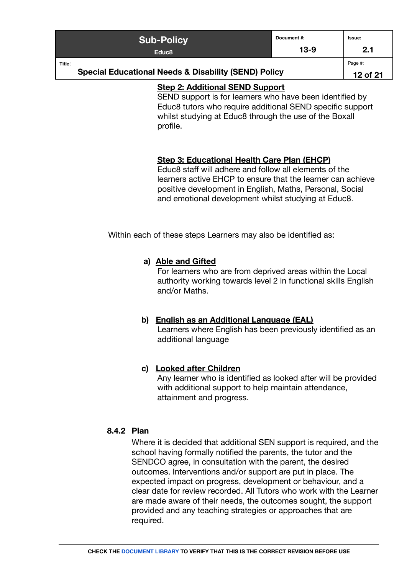| <b>Sub-Policy</b>                                                         | Document #: | lssue: |
|---------------------------------------------------------------------------|-------------|--------|
| Educ <sub>8</sub>                                                         | $13-9$      | 2.1    |
| Title:<br><b>Special Educational Needs &amp; Disability (SEND) Policy</b> |             |        |

## **Step 2: Additional SEND Support**

SEND support is for learners who have been identified by Educ8 tutors who require additional SEND specific support whilst studying at Educ8 through the use of the Boxall profile.

## **Step 3: Educational Health Care Plan (EHCP)**

Educ8 staff will adhere and follow all elements of the learners active EHCP to ensure that the learner can achieve positive development in English, Maths, Personal, Social and emotional development whilst studying at Educ8.

Within each of these steps Learners may also be identified as:

## **a) Able and Gifted**

For learners who are from deprived areas within the Local authority working towards level 2 in functional skills English and/or Maths.

#### **b) English as an Additional Language (EAL)** Learners where English has been previously identified as an additional language

## **c) Looked after Children**

Any learner who is identified as looked after will be provided with additional support to help maintain attendance, attainment and progress.

## <span id="page-11-0"></span>**8.4.2 Plan**

Where it is decided that additional SEN support is required, and the school having formally notified the parents, the tutor and the SENDCO agree, in consultation with the parent, the desired outcomes. Interventions and/or support are put in place. The expected impact on progress, development or behaviour, and a clear date for review recorded. All Tutors who work with the Learner are made aware of their needs, the outcomes sought, the support provided and any teaching strategies or approaches that are required.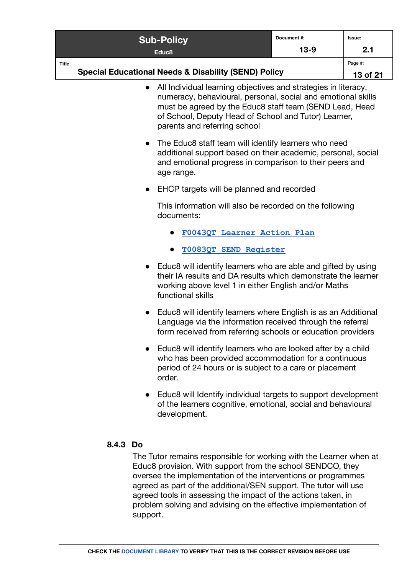| <b>Sub-Policy</b>                                                         | Document#: | lssue: |
|---------------------------------------------------------------------------|------------|--------|
| Educ <sub>8</sub>                                                         | $13-9$     | 2.1    |
| Title:<br><b>Special Educational Needs &amp; Disability (SEND) Policy</b> |            |        |

- All Individual learning objectives and strategies in literacy, numeracy, behavioural, personal, social and emotional skills must be agreed by the Educ8 staff team (SEND Lead, Head of School, Deputy Head of School and Tutor) Learner, parents and referring school
- The Educ8 staff team will identify learners who need additional support based on their academic, personal, social and emotional progress in comparison to their peers and age range.
- EHCP targets will be planned and recorded

This information will also be recorded on the following documents:

- **● [F0043QT Learner Action Plan](https://docs.google.com/document/d/1hzT77j_91x_a_FcosXY4z-4MMe1dZriOaCSneathu3M/edit)**
- **[T0083QT SEND Register](https://docs.google.com/spreadsheets/d/1Uv8h6b9njrGnVZtME7pY4GpWOLHwZ_mKmOHd-KcYTqI/edit#gid=497520425)**
- Educ8 will identify learners who are able and gifted by using their IA results and DA results which demonstrate the learner working above level 1 in either English and/or Maths functional skills
- Educ8 will identify learners where English is as an Additional Language via the information received through the referral form received from referring schools or education providers
- Educ8 will identify learners who are looked after by a child who has been provided accommodation for a continuous period of 24 hours or is subject to a care or placement order.
- Educ8 will Identify individual targets to support development of the learners cognitive, emotional, social and behavioural development.

## <span id="page-12-0"></span>**8.4.3 Do**

The Tutor remains responsible for working with the Learner when at Educ8 provision. With support from the school SENDCO, they oversee the implementation of the interventions or programmes agreed as part of the additional/SEN support. The tutor will use agreed tools in assessing the impact of the actions taken, in problem solving and advising on the effective implementation of support.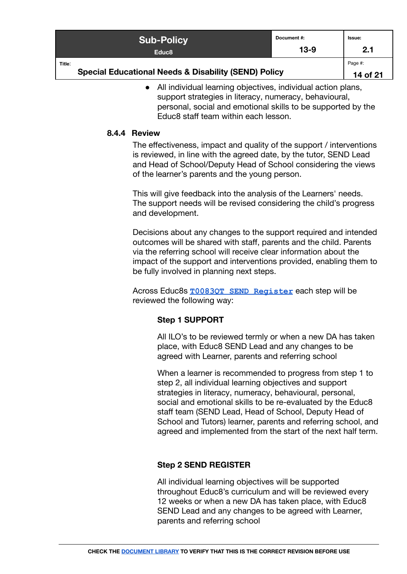| <b>Sub-Policy</b>                                               | Document#: | Issue:   |
|-----------------------------------------------------------------|------------|----------|
| Educ <sub>8</sub>                                               | $13-9$     | 2.1      |
| Title:                                                          |            | Page #:  |
| <b>Special Educational Needs &amp; Disability (SEND) Policy</b> |            | 14 of 21 |

● All individual learning objectives, individual action plans, support strategies in literacy, numeracy, behavioural, personal, social and emotional skills to be supported by the Educ8 staff team within each lesson.

## <span id="page-13-0"></span>**8.4.4 Review**

The effectiveness, impact and quality of the support / interventions is reviewed, in line with the agreed date, by the tutor, SEND Lead and Head of School/Deputy Head of School considering the views of the learner's parents and the young person.

This will give feedback into the analysis of the Learners' needs. The support needs will be revised considering the child's progress and development.

Decisions about any changes to the support required and intended outcomes will be shared with staff, parents and the child. Parents via the referring school will receive clear information about the impact of the support and interventions provided, enabling them to be fully involved in planning next steps.

Across Educ8s **[T0083QT SEND Register](https://docs.google.com/spreadsheets/d/1Uv8h6b9njrGnVZtME7pY4GpWOLHwZ_mKmOHd-KcYTqI/edit#gid=497520425)** each step will be reviewed the following way:

## **Step 1 SUPPORT**

All ILO's to be reviewed termly or when a new DA has taken place, with Educ8 SEND Lead and any changes to be agreed with Learner, parents and referring school

When a learner is recommended to progress from step 1 to step 2, all individual learning objectives and support strategies in literacy, numeracy, behavioural, personal, social and emotional skills to be re-evaluated by the Educ8 staff team (SEND Lead, Head of School, Deputy Head of School and Tutors) learner, parents and referring school, and agreed and implemented from the start of the next half term.

## **Step 2 SEND REGISTER**

All individual learning objectives will be supported throughout Educ8's curriculum and will be reviewed every 12 weeks or when a new DA has taken place, with Educ8 SEND Lead and any changes to be agreed with Learner. parents and referring school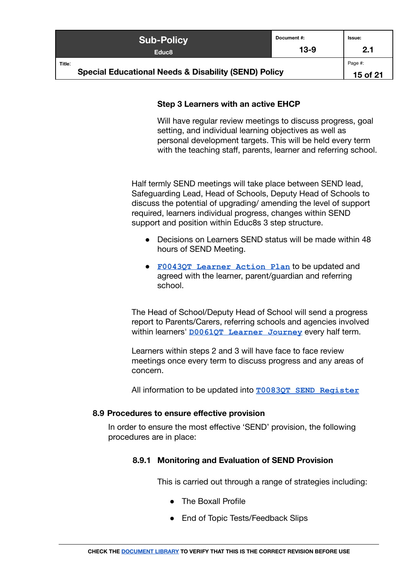| <b>Sub-Policy</b>                                                         | Document #: | Issue: |
|---------------------------------------------------------------------------|-------------|--------|
| Educ <sub>8</sub>                                                         | $13-9$      | 2.1    |
| Title:<br><b>Special Educational Needs &amp; Disability (SEND) Policy</b> |             |        |

## **Step 3 Learners with an active EHCP**

Will have regular review meetings to discuss progress, goal setting, and individual learning objectives as well as personal development targets. This will be held every term with the teaching staff, parents, learner and referring school.

Half termly SEND meetings will take place between SEND lead, Safeguarding Lead, Head of Schools, Deputy Head of Schools to discuss the potential of upgrading/ amending the level of support required, learners individual progress, changes within SEND support and position within Educ8s 3 step structure.

- Decisions on Learners SEND status will be made within 48 hours of SEND Meeting.
- **[F0043QT Learner Action Plan](https://docs.google.com/document/d/1hzT77j_91x_a_FcosXY4z-4MMe1dZriOaCSneathu3M/edit)** to be updated and agreed with the learner, parent/guardian and referring school.

The Head of School/Deputy Head of School will send a progress report to Parents/Carers, referring schools and agencies involved within learners' **[D0061QT Learner Journey](https://docs.google.com/document/d/1P484MTGxiwnqyK13tIHQjM63JJwu6t8sUusP7yDCluo/edit#)** every half term.

Learners within steps 2 and 3 will have face to face review meetings once every term to discuss progress and any areas of concern.

All information to be updated into **[T0083QT SEND Register](https://docs.google.com/spreadsheets/d/1Uv8h6b9njrGnVZtME7pY4GpWOLHwZ_mKmOHd-KcYTqI/edit#gid=497520425)**

#### <span id="page-14-1"></span><span id="page-14-0"></span>**8.9 Procedures to ensure effective provision**

In order to ensure the most effective 'SEND' provision, the following procedures are in place:

## **8.9.1 Monitoring and Evaluation of SEND Provision**

This is carried out through a range of strategies including:

- The Boxall Profile
- End of Topic Tests/Feedback Slips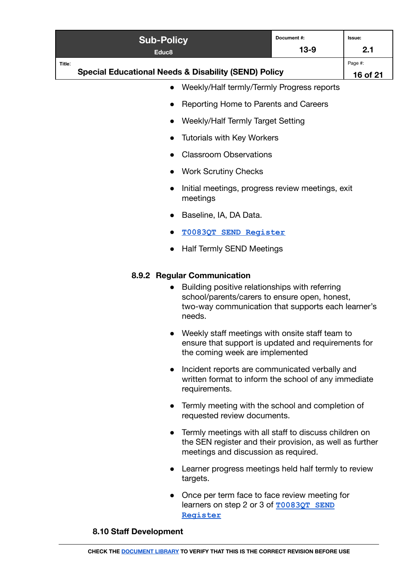|                                                         | <b>Sub-Policy</b><br>Educ <sub>8</sub>                          | Document#:<br>$13-9$ | Issue:<br>2.1       |
|---------------------------------------------------------|-----------------------------------------------------------------|----------------------|---------------------|
| Title:                                                  | <b>Special Educational Needs &amp; Disability (SEND) Policy</b> |                      | Page #:<br>16 of 21 |
| Weekly/Half termly/Termly Progress reports<br>$\bullet$ |                                                                 |                      |                     |
| • Reporting Home to Parents and Careers                 |                                                                 |                      |                     |
|                                                         | Weekly/Half Termly Target Setting<br>$\bullet$                  |                      |                     |
|                                                         |                                                                 |                      |                     |

- Tutorials with Key Workers
- Classroom Observations
- Work Scrutiny Checks
- Initial meetings, progress review meetings, exit meetings
- Baseline, IA, DA Data.
- **[T0083QT SEND Register](https://docs.google.com/spreadsheets/d/1Uv8h6b9njrGnVZtME7pY4GpWOLHwZ_mKmOHd-KcYTqI/edit#gid=497520425)**
- Half Termly SEND Meetings

## <span id="page-15-0"></span>**8.9.2 Regular Communication**

- Building positive relationships with referring school/parents/carers to ensure open, honest, two-way communication that supports each learner's needs.
- Weekly staff meetings with onsite staff team to ensure that support is updated and requirements for the coming week are implemented
- Incident reports are communicated verbally and written format to inform the school of any immediate requirements.
- Termly meeting with the school and completion of requested review documents.
- Termly meetings with all staff to discuss children on the SEN register and their provision, as well as further meetings and discussion as required.
- Learner progress meetings held half termly to review targets.
- Once per term face to face review meeting for learners on step 2 or 3 of **[T0083QT SEND](https://docs.google.com/spreadsheets/d/1Uv8h6b9njrGnVZtME7pY4GpWOLHwZ_mKmOHd-KcYTqI/edit#gid=497520425) [Register](https://docs.google.com/spreadsheets/d/1Uv8h6b9njrGnVZtME7pY4GpWOLHwZ_mKmOHd-KcYTqI/edit#gid=497520425)**

#### <span id="page-15-1"></span>**8.10 Staff Development**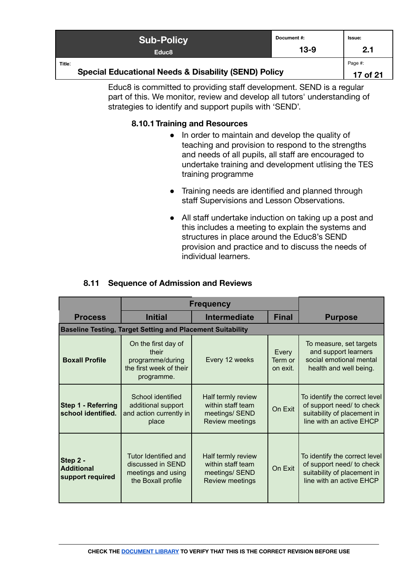| <b>Sub-Policy</b>                                                         | Document#: | <b>Issue:</b> |
|---------------------------------------------------------------------------|------------|---------------|
| Educ <sub>8</sub>                                                         | $13-9$     | 2.1           |
| Title:<br><b>Special Educational Needs &amp; Disability (SEND) Policy</b> |            |               |

<span id="page-16-0"></span>Educ8 is committed to providing staff development. SEND is a regular part of this. We monitor, review and develop all tutors' understanding of strategies to identify and support pupils with 'SEND'.

## **8.10.1 Training and Resources**

- In order to maintain and develop the quality of teaching and provision to respond to the strengths and needs of all pupils, all staff are encouraged to undertake training and development utlising the TES training programme
- Training needs are identified and planned through staff Supervisions and Lesson Observations.
- All staff undertake induction on taking up a post and this includes a meeting to explain the systems and structures in place around the Educ8's SEND provision and practice and to discuss the needs of individual learners.

|                                                   | <b>Frequency</b>                                                                          |                                                                                     |                              |                                                                                                                       |
|---------------------------------------------------|-------------------------------------------------------------------------------------------|-------------------------------------------------------------------------------------|------------------------------|-----------------------------------------------------------------------------------------------------------------------|
| <b>Process</b>                                    | <b>Initial</b>                                                                            | <b>Intermediate</b>                                                                 | <b>Final</b>                 | <b>Purpose</b>                                                                                                        |
|                                                   | <b>Baseline Testing, Target Setting and Placement Suitability</b>                         |                                                                                     |                              |                                                                                                                       |
| <b>Boxall Profile</b>                             | On the first day of<br>their<br>programme/during<br>the first week of their<br>programme. | Every 12 weeks                                                                      | Every<br>Term or<br>on exit. | To measure, set targets<br>and support learners<br>social emotional mental<br>health and well being.                  |
| <b>Step 1 - Referring</b><br>school identified.   | School identified<br>additional support<br>and action currently in<br>place               | Half termly review<br>within staff team<br>meetings/ SEND<br><b>Review meetings</b> | On Exit                      | To identify the correct level<br>of support need/ to check<br>suitability of placement in<br>line with an active EHCP |
| Step 2 -<br><b>Additional</b><br>support required | Tutor Identified and<br>discussed in SEND<br>meetings and using<br>the Boxall profile     | Half termly review<br>within staff team<br>meetings/ SEND<br><b>Review meetings</b> | On Exit                      | To identify the correct level<br>of support need/ to check<br>suitability of placement in<br>line with an active EHCP |

## **8.11 Sequence of Admission and Reviews**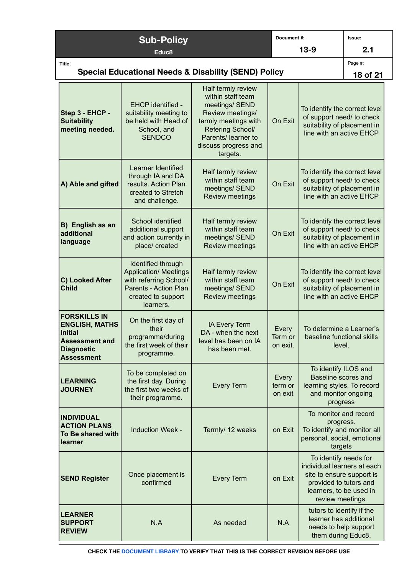|                                                                                                                            | <b>Sub-Policy</b>                                                                                                                        |                                                                                                                                                                                      | Document#:                     |                                                                                                                                                            | Issue:   |
|----------------------------------------------------------------------------------------------------------------------------|------------------------------------------------------------------------------------------------------------------------------------------|--------------------------------------------------------------------------------------------------------------------------------------------------------------------------------------|--------------------------------|------------------------------------------------------------------------------------------------------------------------------------------------------------|----------|
| Educ <sub>8</sub>                                                                                                          |                                                                                                                                          | $13-9$                                                                                                                                                                               |                                | 2.1                                                                                                                                                        |          |
| Title:<br><b>Special Educational Needs &amp; Disability (SEND) Policy</b>                                                  |                                                                                                                                          |                                                                                                                                                                                      |                                | Page #:                                                                                                                                                    |          |
|                                                                                                                            |                                                                                                                                          |                                                                                                                                                                                      |                                |                                                                                                                                                            | 18 of 21 |
| Step 3 - EHCP -<br><b>Suitability</b><br>meeting needed.                                                                   | EHCP identified -<br>suitability meeting to<br>be held with Head of<br>School, and<br><b>SENDCO</b>                                      | Half termly review<br>within staff team<br>meetings/ SEND<br>Review meetings/<br>termly meetings with<br>Refering School/<br>Parents/ learner to<br>discuss progress and<br>targets. | On Exit                        | To identify the correct level<br>of support need/ to check<br>suitability of placement in<br>line with an active EHCP                                      |          |
| A) Able and gifted                                                                                                         | Learner Identified<br>through IA and DA<br>results. Action Plan<br>created to Stretch<br>and challenge.                                  | Half termly review<br>within staff team<br>meetings/ SEND<br><b>Review meetings</b>                                                                                                  | On Exit                        | To identify the correct level<br>of support need/ to check<br>suitability of placement in<br>line with an active EHCP                                      |          |
| B) English as an<br>additional<br>language                                                                                 | School identified<br>additional support<br>and action currently in<br>place/ created                                                     | Half termly review<br>within staff team<br>meetings/ SEND<br><b>Review meetings</b>                                                                                                  | On Exit                        | To identify the correct level<br>of support need/ to check<br>suitability of placement in<br>line with an active EHCP                                      |          |
| C) Looked After<br><b>Child</b>                                                                                            | Identified through<br><b>Application/ Meetings</b><br>with referring School/<br>Parents - Action Plan<br>created to support<br>learners. | Half termly review<br>within staff team<br>meetings/ SEND<br><b>Review meetings</b>                                                                                                  | On Exit                        | To identify the correct level<br>of support need/ to check<br>suitability of placement in<br>line with an active EHCP                                      |          |
| <b>FORSKILLS IN</b><br><b>ENGLISH, MATHS</b><br>Initial<br><b>Assessment and</b><br><b>Diagnostic</b><br><b>Assessment</b> | On the first day of<br>their<br>programme/during<br>the first week of their<br>programme.                                                | IA Every Term<br>DA - when the next<br>level has been on IA<br>has been met.                                                                                                         | Every<br>Term or  <br>on exit. | To determine a Learner's<br>baseline functional skills<br>level.                                                                                           |          |
| <b>LEARNING</b><br><b>JOURNEY</b>                                                                                          | To be completed on<br>the first day. During<br>the first two weeks of<br>their programme.                                                | <b>Every Term</b>                                                                                                                                                                    | Every<br>term or<br>on exit    | To identify ILOS and<br>Baseline scores and<br>learning styles, To record<br>and monitor ongoing<br>progress                                               |          |
| <b>INDIVIDUAL</b><br><b>ACTION PLANS</b><br>To Be shared with<br>learner                                                   | <b>Induction Week -</b>                                                                                                                  | Termly/ 12 weeks                                                                                                                                                                     | on Exit                        | To monitor and record<br>progress.<br>To identify and monitor all<br>personal, social, emotional<br>targets                                                |          |
| <b>SEND Register</b>                                                                                                       | Once placement is<br>confirmed                                                                                                           | <b>Every Term</b>                                                                                                                                                                    | on Exit                        | To identify needs for<br>individual learners at each<br>site to ensure support is<br>provided to tutors and<br>learners, to be used in<br>review meetings. |          |
| <b>LEARNER</b><br><b>SUPPORT</b><br><b>REVIEW</b>                                                                          | N.A                                                                                                                                      | As needed                                                                                                                                                                            | N.A                            | tutors to identify if the<br>learner has additional<br>needs to help support<br>them during Educ8.                                                         |          |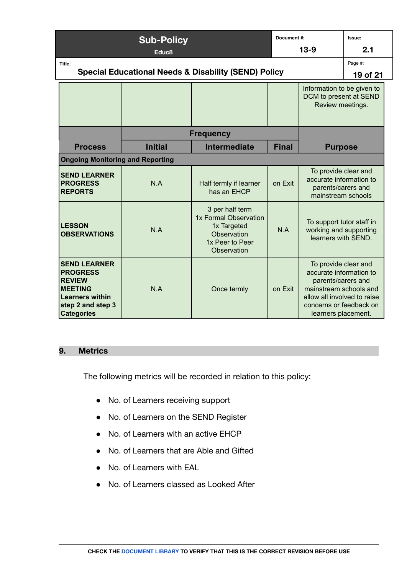|                                                                                                                                               | <b>Sub-Policy</b> |                                                                                                          | Document#:   |                                                                                                                                                                                  | Issue:   |
|-----------------------------------------------------------------------------------------------------------------------------------------------|-------------------|----------------------------------------------------------------------------------------------------------|--------------|----------------------------------------------------------------------------------------------------------------------------------------------------------------------------------|----------|
|                                                                                                                                               | Educ <sub>8</sub> |                                                                                                          |              | $13-9$                                                                                                                                                                           | 2.1      |
| Title:                                                                                                                                        |                   |                                                                                                          |              |                                                                                                                                                                                  | Page #:  |
|                                                                                                                                               |                   | <b>Special Educational Needs &amp; Disability (SEND) Policy</b>                                          |              |                                                                                                                                                                                  | 19 of 21 |
|                                                                                                                                               |                   |                                                                                                          |              | Information to be given to<br>DCM to present at SEND<br>Review meetings.                                                                                                         |          |
|                                                                                                                                               |                   | <b>Frequency</b>                                                                                         |              |                                                                                                                                                                                  |          |
| <b>Process</b>                                                                                                                                | <b>Initial</b>    | <b>Intermediate</b>                                                                                      | <b>Final</b> | <b>Purpose</b>                                                                                                                                                                   |          |
| <b>Ongoing Monitoring and Reporting</b>                                                                                                       |                   |                                                                                                          |              |                                                                                                                                                                                  |          |
| <b>SEND LEARNER</b><br><b>PROGRESS</b><br><b>REPORTS</b>                                                                                      | N.A               | Half termly if learner<br>has an EHCP                                                                    | on Exit      | To provide clear and<br>accurate information to<br>parents/carers and<br>mainstream schools                                                                                      |          |
| <b>LESSON</b><br><b>OBSERVATIONS</b>                                                                                                          | N.A               | 3 per half term<br>1x Formal Observation<br>1x Targeted<br>Observation<br>1x Peer to Peer<br>Observation | N.A          | To support tutor staff in<br>working and supporting<br>learners with SEND.                                                                                                       |          |
| <b>SEND LEARNER</b><br><b>PROGRESS</b><br><b>REVIEW</b><br><b>MEETING</b><br><b>Learners within</b><br>step 2 and step 3<br><b>Categories</b> | N.A               | Once termly                                                                                              | on Exit      | To provide clear and<br>accurate information to<br>parents/carers and<br>mainstream schools and<br>allow all involved to raise<br>concerns or feedback on<br>learners placement. |          |

#### <span id="page-18-0"></span>**9. Metrics**

The following metrics will be recorded in relation to this policy:

- No. of Learners receiving support
- No. of Learners on the SEND Register
- No. of Learners with an active EHCP
- No. of Learners that are Able and Gifted
- No. of Learners with EAL
- No. of Learners classed as Looked After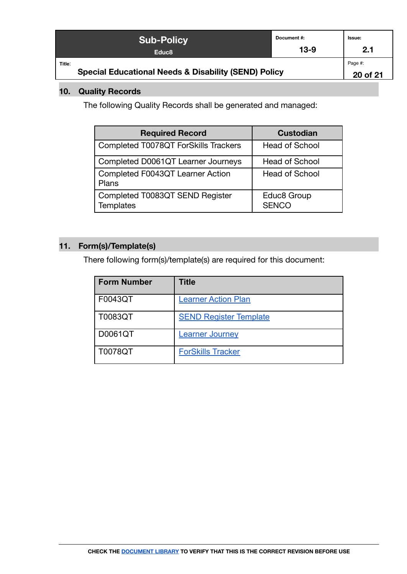|                                                                 | <b>Sub-Policy</b> | Document #: | lssue:   |
|-----------------------------------------------------------------|-------------------|-------------|----------|
|                                                                 | Educ <sub>8</sub> | $13-9$      | 2.1      |
| Title:                                                          |                   |             | Page #:  |
| <b>Special Educational Needs &amp; Disability (SEND) Policy</b> |                   |             | 20 of 21 |

## <span id="page-19-0"></span>**10. Quality Records**

The following Quality Records shall be generated and managed:

| <b>Required Record</b>                              | <b>Custodian</b>            |
|-----------------------------------------------------|-----------------------------|
| Completed T0078QT ForSkills Trackers                | <b>Head of School</b>       |
| Completed D0061QT Learner Journeys                  | <b>Head of School</b>       |
| Completed F0043QT Learner Action<br>Plans           | <b>Head of School</b>       |
| Completed T0083QT SEND Register<br><b>Templates</b> | Educ8 Group<br><b>SENCO</b> |

## <span id="page-19-1"></span>**11. Form(s)/Template(s)**

There following form(s)/template(s) are required for this document:

| <b>Form Number</b> | Title                         |
|--------------------|-------------------------------|
| F0043QT            | <b>Learner Action Plan</b>    |
| T0083QT            | <b>SEND Register Template</b> |
| D0061QT            | <b>Learner Journey</b>        |
| T0078QT            | <b>ForSkills Tracker</b>      |